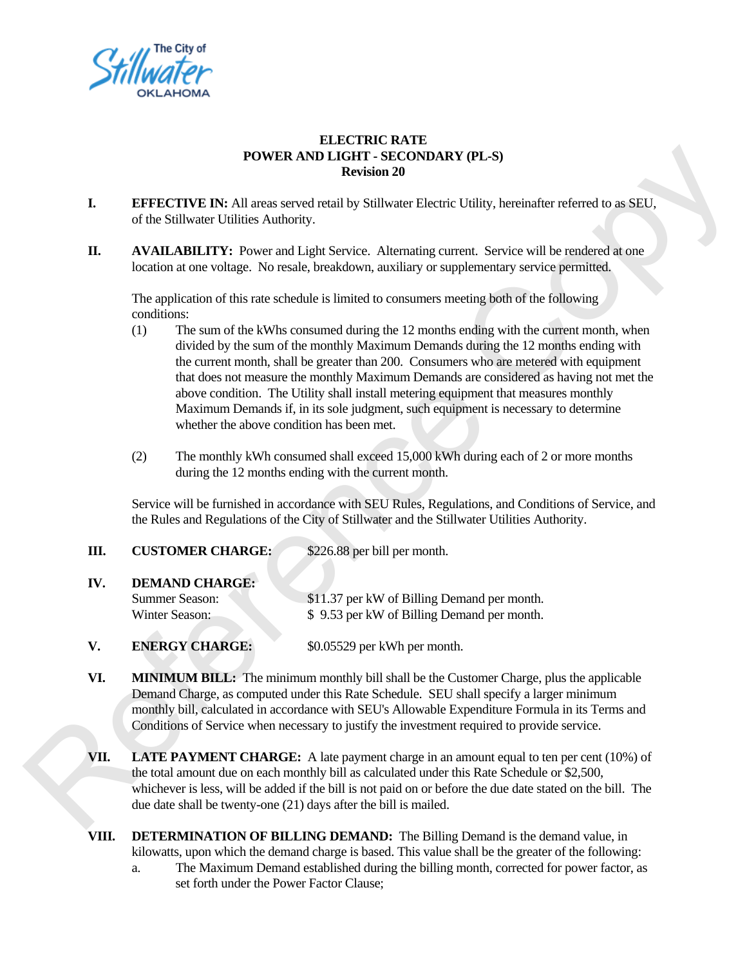

## **ELECTRIC RATE POWER AND LIGHT - SECONDARY (PL-S) Revision 20**

- **I. EFFECTIVE IN:** All areas served retail by Stillwater Electric Utility, hereinafter referred to as SEU, of the Stillwater Utilities Authority.
- **II. AVAILABILITY:** Power and Light Service. Alternating current. Service will be rendered at one location at one voltage. No resale, breakdown, auxiliary or supplementary service permitted.

The application of this rate schedule is limited to consumers meeting both of the following conditions:

- (1) The sum of the kWhs consumed during the 12 months ending with the current month, when divided by the sum of the monthly Maximum Demands during the 12 months ending with the current month, shall be greater than 200. Consumers who are metered with equipment that does not measure the monthly Maximum Demands are considered as having not met the above condition. The Utility shall install metering equipment that measures monthly Maximum Demands if, in its sole judgment, such equipment is necessary to determine whether the above condition has been met. **FONDER AND LETT - SKONDARY (11.5)**<br> **LETERCTIVE IN:** All attens served retail by Stillwarer Electric Citity, horeinative referred to as SEU.<br>
I. AN AIL ABILITY: INVersion 2001 Sillwarer Electric Citity, horeinative refer
	- (2) The monthly kWh consumed shall exceed 15,000 kWh during each of 2 or more months during the 12 months ending with the current month.

Service will be furnished in accordance with SEU Rules, Regulations, and Conditions of Service, and the Rules and Regulations of the City of Stillwater and the Stillwater Utilities Authority.

| .   | COSTOMER CHARGE.      | $\psi$ 220.00 pci bili pci monui.           |
|-----|-----------------------|---------------------------------------------|
| IV. | <b>DEMAND CHARGE:</b> |                                             |
|     | Summer Season:        | \$11.37 per kW of Billing Demand per month. |
|     | Winter Season:        | \$9.53 per kW of Billing Demand per month.  |
|     |                       |                                             |

**V. ENERGY CHARGE:** \$0.05529 per kWh per month.

**III. CUSTOMED CHARGE:** \$226.88 per bill per month

- **VI. MINIMUM BILL:** The minimum monthly bill shall be the Customer Charge, plus the applicable Demand Charge, as computed under this Rate Schedule. SEU shall specify a larger minimum monthly bill, calculated in accordance with SEU's Allowable Expenditure Formula in its Terms and Conditions of Service when necessary to justify the investment required to provide service.
- **VII. LATE PAYMENT CHARGE:** A late payment charge in an amount equal to ten per cent (10%) of the total amount due on each monthly bill as calculated under this Rate Schedule or \$2,500, whichever is less, will be added if the bill is not paid on or before the due date stated on the bill. The due date shall be twenty-one (21) days after the bill is mailed.
- **VIII. DETERMINATION OF BILLING DEMAND:** The Billing Demand is the demand value, in kilowatts, upon which the demand charge is based. This value shall be the greater of the following: a. The Maximum Demand established during the billing month, corrected for power factor, as
	- set forth under the Power Factor Clause;